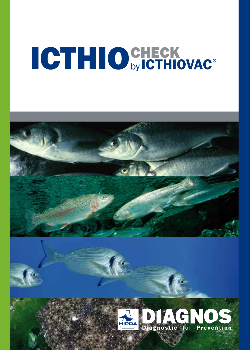# **CTHO** CHECK **Dy ICTHIOVAC**

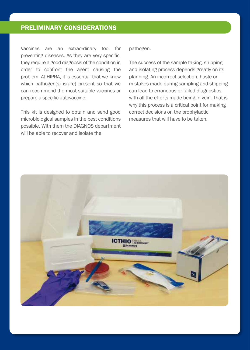#### PRELIMINARY CONSIDERATIONS

Vaccines are an extraordinary tool for preventing diseases. As they are very specific, they require a good diagnosis of the condition in order to confront the agent causing the problem. At HIPRA, it is essential that we know which pathogen(s) is(are) present so that we can recommend the most suitable vaccines or prepare a specific autovaccine.

This kit is designed to obtain and send good microbiological samples in the best conditions possible. With them the DIAGNOS department will be able to recover and isolate the

pathogen.

The success of the sample taking, shipping and isolating process depends greatly on its planning. An incorrect selection, haste or mistakes made during sampling and shipping can lead to erroneous or failed diagnostics, with all the efforts made being in vein. That is why this process is a critical point for making correct decisions on the prophylactic measures that will have to be taken.

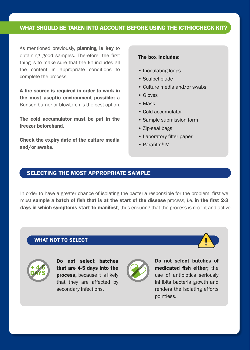#### WHAT SHOULD BE TAKEN INTO ACCOUNT BEFORE USING THE ICTHIOCHECK KIT?

As mentioned previously, planning is key to obtaining good samples. Therefore, the first thing is to make sure that the kit includes all the content in appropriate conditions to complete the process.

A fire source is required in order to work in the most aseptic environment possible; a Bunsen burner or blowtorch is the best option.

The cold accumulator must be put in the freezer beforehand.

Check the expiry date of the culture media and/or swabs.

#### The box includes:

- Inoculating loops
- Scalpel blade
- Culture media and/or swabs
- Gloves
- Mask
- Cold accumulator
- Sample submission form
- Zip-seal bags
- Laboratory filter paper
- Parafilm® M

#### SELECTING THE MOST APPROPRIATE SAMPLE

In order to have a greater chance of isolating the bacteria responsible for the problem, first we must sample a batch of fish that is at the start of the disease process, i.e. in the first 2-3 days in which symptoms start to manifest, thus ensuring that the process is recent and active.

#### WHAT NOT TO SELECT



Do not select batches that are 4-5 days into the process, because it is likely that they are affected by secondary infections.



Do not select batches of medicated fish either; the use of antibiotics seriously inhibits bacteria growth and renders the isolating efforts pointless.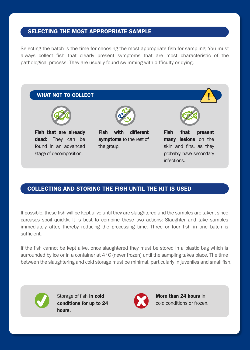#### SELECTING THE MOST APPROPRIATE SAMPLE

Selecting the batch is the time for choosing the most appropriate fish for sampling: You must always collect fish that clearly present symptoms that are most characteristic of the pathological process. They are usually found swimming with difficulty or dying.



#### COLLECTING AND STORING THE FISH UNTIL THE KIT IS USED

If possible, these fish will be kept alive until they are slaughtered and the samples are taken, since carcases spoil quickly. It is best to combine these two actions: Slaughter and take samples immediately after, thereby reducing the processing time. Three or four fish in one batch is sufficient.

If the fish cannot be kept alive, once slaughtered they must be stored in a plastic bag which is surrounded by ice or in a container at 4°C (never frozen) until the sampling takes place. The time between the slaughtering and cold storage must be minimal, particularly in juveniles and small fish.



Storage of fish in cold conditions for up to 24 hours.



More than 24 hours in cold conditions or frozen.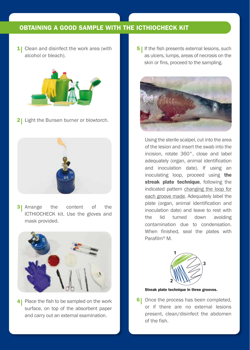## OBTAINING A GOOD SAMPLE WITH THE ICTHIOCHECK KIT

Clean and disinfect the work area (with 1 5 alcohol or bleach).



2 | Light the Bunsen burner or blowtorch.



the content of the ICTHIOCHECK kit. Use the gloves and mask provided. 3| Arrange



4 Place the fish to be sampled on the work  $\begin{array}{|c|c|} \hline \textbf{6} & \textbf{6} \end{array}$ surface, on top of the absorbent paper and carry out an external examination.

**5** I If the fish presents external lesions, such as ulcers, lumps, areas of necrosis on the skin or fins, proceed to the sampling.



Using the sterile scalpel, cut into the area of the lesion and insert the swab into the incision, rotate 360°, close and label adequately (organ, animal identification and inoculation date). If using an inoculating loop, proceed using the streak plate technique, following the indicated pattern changing the loop for each groove made. Adequately label the plate (organ, animal identification and inoculation date) and leave to rest with the lid turned down avoiding contamination due to condensation. When finished, seal the plates with Parafilm® M.



Streak plate technique in three grooves.

6| Once the process has been completed. or if there are no external lesions present, clean/disinfect the abdomen of the fish.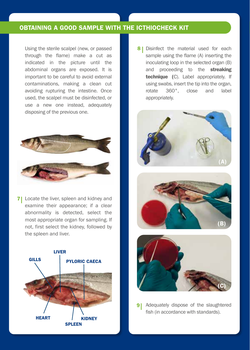### OBTAINING A GOOD SAMPLE WITH THE ICTHIOCHECK KIT

Using the sterile scalpel (new, or passed through the flame) make a cut as indicated in the picture until the abdominal organs are exposed. It is important to be careful to avoid external contaminations, making a clean cut avoiding rupturing the intestine. Once used, the scalpel must be disinfected, or use a new one instead, adequately disposing of the previous one.



**71** Locate the liver, spleen and kidney and examine their appearance; if a clear abnormality is detected, select the most appropriate organ for sampling. If not, first select the kidney, followed by the spleen and liver.



**8** | Disinfect the material used for each sample using the flame (A) inserting the inoculating loop in the selected organ (B) and proceeding to the streaking technique (C). Label appropriately. If using swabs, insert the tip into the organ, rotate 360°, close and label appropriately.







**91** Adequately dispose of the slaughtered fish (in accordance with standards).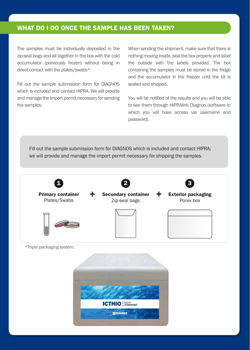#### WHAT DO I DO ONCE THE SAMPLE HAS BEEN TAKEN?

The samples must be individually deposited in the zip-seal bags and all together in the box with the cold accumulator (previously frozen) without being in direct contact with the plates/swabs\*.

Fill out the sample submission form for DIAGNOS which is included and contact HIPRA. We will provide and manage the import permit necessary for sending the samples.

When sending the shipment, make sure that there is nothing moving inside, seal the box properly and label the outside with the labels provided. The box containing the samples must be stored in the fridge and the accumulator in the freezer until the kit is sealed and shipped.

You will be notified of the results and you will be able to see them through HIPRAlink Diagnos (software to which you will have access via username and password).

Fill out the sample submission form for DIAGNOS which is included and contact HIPRA; we will provide and manage the import permit necessary for shipping the samples.



\*Triple packaging system.